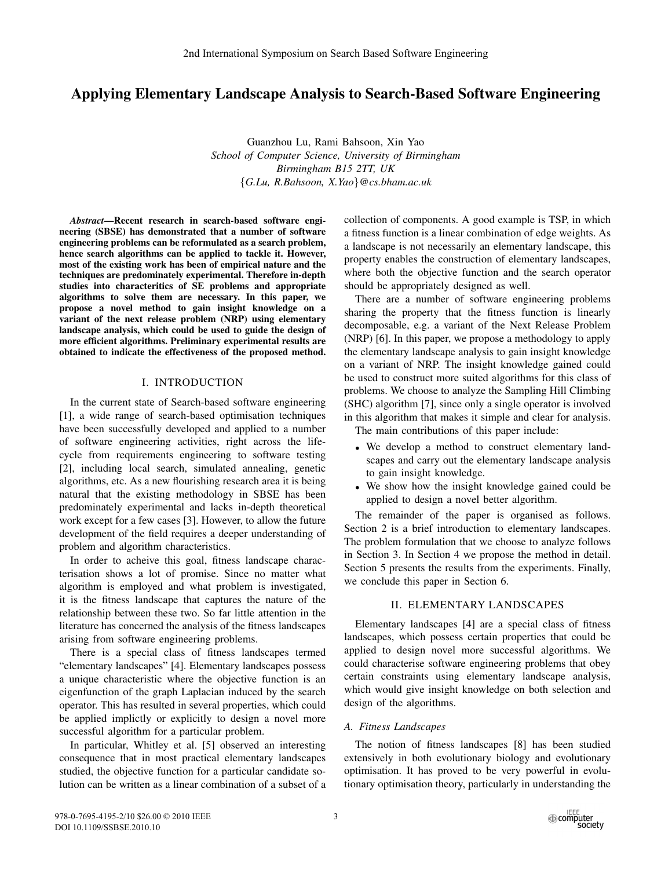# Applying Elementary Landscape Analysis to Search-Based Software Engineering

Guanzhou Lu, Rami Bahsoon, Xin Yao *School of Computer Science, University of Birmingham Birmingham B15 2TT, UK* {*G.Lu, R.Bahsoon, X.Yao*}*@cs.bham.ac.uk*

*Abstract*—Recent research in search-based software engineering (SBSE) has demonstrated that a number of software engineering problems can be reformulated as a search problem, hence search algorithms can be applied to tackle it. However, most of the existing work has been of empirical nature and the techniques are predominately experimental. Therefore in-depth studies into characteritics of SE problems and appropriate algorithms to solve them are necessary. In this paper, we propose a novel method to gain insight knowledge on a variant of the next release problem (NRP) using elementary landscape analysis, which could be used to guide the design of more efficient algorithms. Preliminary experimental results are obtained to indicate the effectiveness of the proposed method.

## I. INTRODUCTION

In the current state of Search-based software engineering [1], a wide range of search-based optimisation techniques have been successfully developed and applied to a number of software engineering activities, right across the lifecycle from requirements engineering to software testing [2], including local search, simulated annealing, genetic algorithms, etc. As a new flourishing research area it is being natural that the existing methodology in SBSE has been predominately experimental and lacks in-depth theoretical work except for a few cases [3]. However, to allow the future development of the field requires a deeper understanding of problem and algorithm characteristics.

In order to acheive this goal, fitness landscape characterisation shows a lot of promise. Since no matter what algorithm is employed and what problem is investigated, it is the fitness landscape that captures the nature of the relationship between these two. So far little attention in the literature has concerned the analysis of the fitness landscapes arising from software engineering problems.

There is a special class of fitness landscapes termed "elementary landscapes" [4]. Elementary landscapes possess a unique characteristic where the objective function is an eigenfunction of the graph Laplacian induced by the search operator. This has resulted in several properties, which could be applied implictly or explicitly to design a novel more successful algorithm for a particular problem.

In particular, Whitley et al. [5] observed an interesting consequence that in most practical elementary landscapes studied, the objective function for a particular candidate solution can be written as a linear combination of a subset of a collection of components. A good example is TSP, in which a fitness function is a linear combination of edge weights. As a landscape is not necessarily an elementary landscape, this property enables the construction of elementary landscapes, where both the objective function and the search operator should be appropriately designed as well.

There are a number of software engineering problems sharing the property that the fitness function is linearly decomposable, e.g. a variant of the Next Release Problem (NRP) [6]. In this paper, we propose a methodology to apply the elementary landscape analysis to gain insight knowledge on a variant of NRP. The insight knowledge gained could be used to construct more suited algorithms for this class of problems. We choose to analyze the Sampling Hill Climbing (SHC) algorithm [7], since only a single operator is involved in this algorithm that makes it simple and clear for analysis.

The main contributions of this paper include:

- We develop a method to construct elementary landscapes and carry out the elementary landscape analysis to gain insight knowledge.
- We show how the insight knowledge gained could be applied to design a novel better algorithm.

The remainder of the paper is organised as follows. Section 2 is a brief introduction to elementary landscapes. The problem formulation that we choose to analyze follows in Section 3. In Section 4 we propose the method in detail. Section 5 presents the results from the experiments. Finally, we conclude this paper in Section 6.

# II. ELEMENTARY LANDSCAPES

Elementary landscapes [4] are a special class of fitness landscapes, which possess certain properties that could be applied to design novel more successful algorithms. We could characterise software engineering problems that obey certain constraints using elementary landscape analysis, which would give insight knowledge on both selection and design of the algorithms.

# *A. Fitness Landscapes*

The notion of fitness landscapes [8] has been studied extensively in both evolutionary biology and evolutionary optimisation. It has proved to be very powerful in evolutionary optimisation theory, particularly in understanding the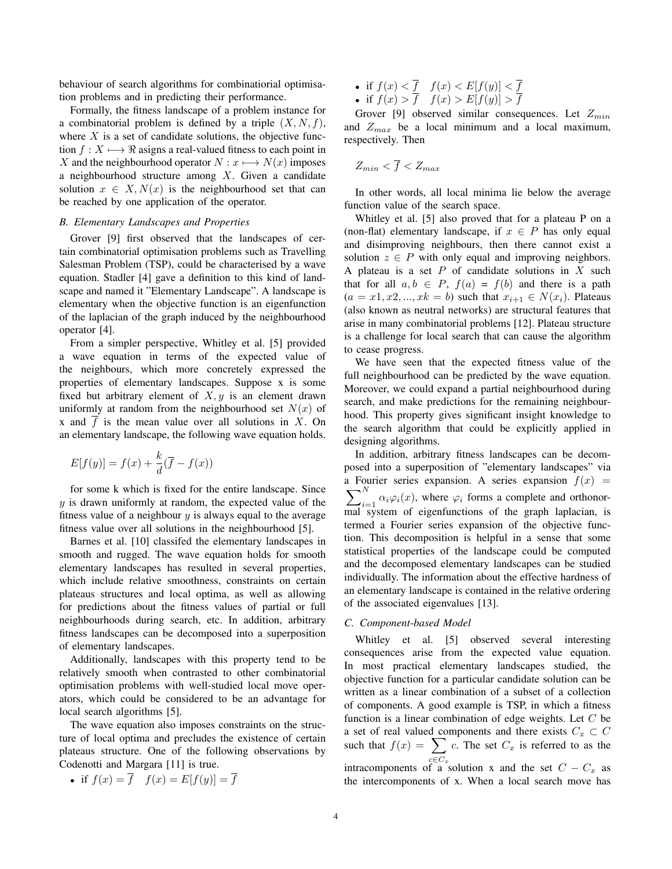behaviour of search algorithms for combinatiorial optimisation problems and in predicting their performance.

Formally, the fitness landscape of a problem instance for a combinatorial problem is defined by a triple  $(X, N, f)$ , where  $X$  is a set of candidate solutions, the objective function  $f : X \longrightarrow \mathbb{R}$  asigns a real-valued fitness to each point in X and the neighbourhood operator  $N : x \longmapsto N(x)$  imposes a neighbourhood structure among X. Given a candidate solution  $x \in X, N(x)$  is the neighbourhood set that can be reached by one application of the operator.

# *B. Elementary Landscapes and Properties*

Grover [9] first observed that the landscapes of certain combinatorial optimisation problems such as Travelling Salesman Problem (TSP), could be characterised by a wave equation. Stadler [4] gave a definition to this kind of landscape and named it "Elementary Landscape". A landscape is elementary when the objective function is an eigenfunction of the laplacian of the graph induced by the neighbourhood operator [4].

From a simpler perspective, Whitley et al. [5] provided a wave equation in terms of the expected value of the neighbours, which more concretely expressed the properties of elementary landscapes. Suppose x is some fixed but arbitrary element of  $X, y$  is an element drawn uniformly at random from the neighbourhood set  $N(x)$  of x and  $\overline{f}$  is the mean value over all solutions in X. On an elementary landscape, the following wave equation holds.

$$
E[f(y)] = f(x) + \frac{k}{d}(\overline{f} - f(x))
$$

for some k which is fixed for the entire landscape. Since  $y$  is drawn uniformly at random, the expected value of the fitness value of a neighbour  $y$  is always equal to the average fitness value over all solutions in the neighbourhood [5].

Barnes et al. [10] classifed the elementary landscapes in smooth and rugged. The wave equation holds for smooth elementary landscapes has resulted in several properties, which include relative smoothness, constraints on certain plateaus structures and local optima, as well as allowing for predictions about the fitness values of partial or full neighbourhoods during search, etc. In addition, arbitrary fitness landscapes can be decomposed into a superposition of elementary landscapes.

Additionally, landscapes with this property tend to be relatively smooth when contrasted to other combinatorial optimisation problems with well-studied local move operators, which could be considered to be an advantage for local search algorithms [5].

The wave equation also imposes constraints on the structure of local optima and precludes the existence of certain plateaus structure. One of the following observations by Codenotti and Margara [11] is true.

• if 
$$
f(x) = \overline{f}
$$
  $f(x) = E[f(y)] = \overline{f}$ 

- if  $f(x) < f$   $f(x) < E[f(y)] < f$
- if  $f(x) > f$   $f(x) > E[f(y)] > f$

Grover [9] observed similar consequences. Let  $Z_{min}$ and  $Z_{max}$  be a local minimum and a local maximum, respectively. Then

$$
Z_{min} < \overline{f} < Z_{max}
$$

In other words, all local minima lie below the average function value of the search space.

Whitley et al. [5] also proved that for a plateau P on a (non-flat) elementary landscape, if  $x \in P$  has only equal and disimproving neighbours, then there cannot exist a solution  $z \in P$  with only equal and improving neighbors. A plateau is a set  $P$  of candidate solutions in  $X$  such that for all  $a, b \in P$ ,  $f(a) = f(b)$  and there is a path  $(a = x1, x2, ..., xk = b)$  such that  $x_{i+1} \in N(x_i)$ . Plateaus (also known as neutral networks) are structural features that arise in many combinatorial problems [12]. Plateau structure is a challenge for local search that can cause the algorithm to cease progress.

We have seen that the expected fitness value of the full neighbourhood can be predicted by the wave equation. Moreover, we could expand a partial neighbourhood during search, and make predictions for the remaining neighbourhood. This property gives significant insight knowledge to the search algorithm that could be explicitly applied in designing algorithms.

In addition, arbitrary fitness landscapes can be decomposed into a superposition of "elementary landscapes" via a Fourier series expansion. A series expansion  $f(x) =$  $\boldsymbol{\nabla}^N$  $\sum_{i=1} \alpha_i \varphi_i(x)$ , where  $\varphi_i$  forms a complete and orthonor- $\overline{\text{mal}}$  system of eigenfunctions of the graph laplacian, is termed a Fourier series expansion of the objective function. This decomposition is helpful in a sense that some statistical properties of the landscape could be computed and the decomposed elementary landscapes can be studied individually. The information about the effective hardness of an elementary landscape is contained in the relative ordering of the associated eigenvalues [13].

# *C. Component-based Model*

Whitley et al. [5] observed several interesting consequences arise from the expected value equation. In most practical elementary landscapes studied, the objective function for a particular candidate solution can be written as a linear combination of a subset of a collection of components. A good example is TSP, in which a fitness function is a linear combination of edge weights. Let  $C$  be a set of real valued components and there exists  $C_x \subset C$ such that  $f(x) = \sum_{n=0}^{\infty} c_n$ . The set  $C_x$  is referred to as the intracomponents of a solution x and the set  $C - C_x$  as the intercomponents of x. When a local search move has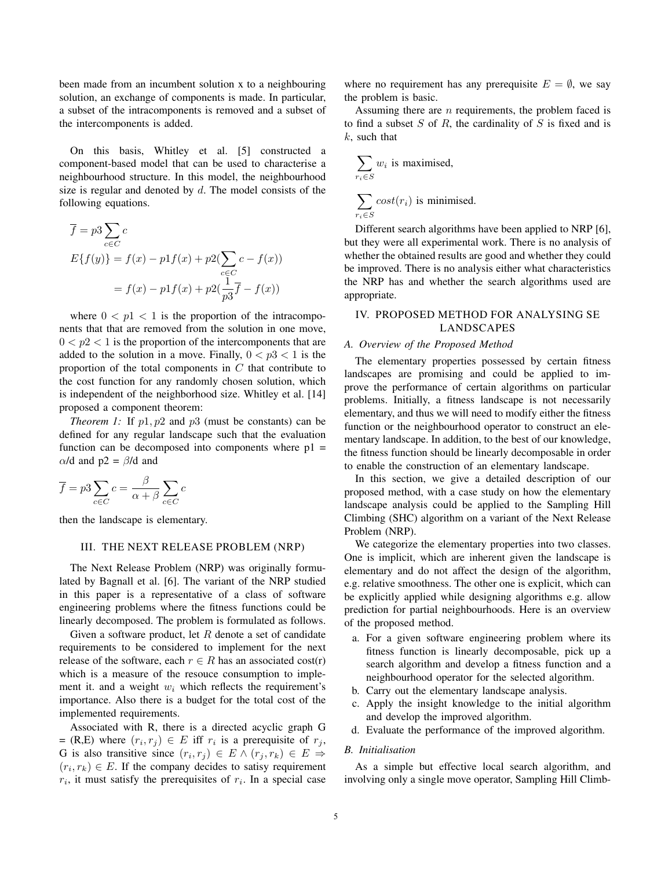been made from an incumbent solution x to a neighbouring solution, an exchange of components is made. In particular, a subset of the intracomponents is removed and a subset of the intercomponents is added.

On this basis, Whitley et al. [5] constructed a component-based model that can be used to characterise a neighbourhood structure. In this model, the neighbourhood size is regular and denoted by  $d$ . The model consists of the following equations.

$$
\overline{f} = p3 \sum_{c \in C} c
$$
  
\n
$$
E\{f(y)\} = f(x) - p1 f(x) + p2(\sum_{c \in C} c - f(x))
$$
  
\n
$$
= f(x) - p1 f(x) + p2(\frac{1}{p3}\overline{f} - f(x))
$$

where  $0 < p1 < 1$  is the proportion of the intracomponents that that are removed from the solution in one move,  $0 < p<sub>2</sub> < 1$  is the proportion of the intercomponents that are added to the solution in a move. Finally,  $0 < p<sub>3</sub> < 1$  is the proportion of the total components in  $C$  that contribute to the cost function for any randomly chosen solution, which is independent of the neighborhood size. Whitley et al. [14] proposed a component theorem:

*Theorem 1:* If  $p1, p2$  and  $p3$  (must be constants) can be defined for any regular landscape such that the evaluation function can be decomposed into components where  $p1 =$  $α/d$  and  $p2 = β/d$  and

$$
\overline{f} = p3 \sum_{c \in C} c = \frac{\beta}{\alpha + \beta} \sum_{c \in C} c
$$

then the landscape is elementary.

## III. THE NEXT RELEASE PROBLEM (NRP)

The Next Release Problem (NRP) was originally formulated by Bagnall et al. [6]. The variant of the NRP studied in this paper is a representative of a class of software engineering problems where the fitness functions could be linearly decomposed. The problem is formulated as follows.

Given a software product, let  $R$  denote a set of candidate requirements to be considered to implement for the next release of the software, each  $r \in R$  has an associated cost(r) which is a measure of the resouce consumption to implement it. and a weight  $w_i$  which reflects the requirement's importance. Also there is a budget for the total cost of the implemented requirements.

Associated with R, there is a directed acyclic graph G = (R,E) where  $(r_i, r_j) \in E$  iff  $r_i$  is a prerequisite of  $r_j$ , G is also transitive since  $(r_i, r_j) \in E \wedge (r_j, r_k) \in E \Rightarrow$  $(r_i, r_k) \in E$ . If the company decides to satisy requirement  $r_i$ , it must satisfy the prerequisites of  $r_i$ . In a special case where no requirement has any prerequisite  $E = \emptyset$ , we say the problem is basic.

Assuming there are  $n$  requirements, the problem faced is to find a subset  $S$  of  $R$ , the cardinality of  $S$  is fixed and is  $k$ , such that

$$
\sum_{r_i \in S} w_i
$$
 is maximised,  

$$
\sum_{r_i \in S} cost(r_i)
$$
 is minimised.

Different search algorithms have been applied to NRP [6], but they were all experimental work. There is no analysis of whether the obtained results are good and whether they could be improved. There is no analysis either what characteristics the NRP has and whether the search algorithms used are appropriate.

# IV. PROPOSED METHOD FOR ANALYSING SE LANDSCAPES

# *A. Overview of the Proposed Method*

The elementary properties possessed by certain fitness landscapes are promising and could be applied to improve the performance of certain algorithms on particular problems. Initially, a fitness landscape is not necessarily elementary, and thus we will need to modify either the fitness function or the neighbourhood operator to construct an elementary landscape. In addition, to the best of our knowledge, the fitness function should be linearly decomposable in order to enable the construction of an elementary landscape.

In this section, we give a detailed description of our proposed method, with a case study on how the elementary landscape analysis could be applied to the Sampling Hill Climbing (SHC) algorithm on a variant of the Next Release Problem (NRP).

We categorize the elementary properties into two classes. One is implicit, which are inherent given the landscape is elementary and do not affect the design of the algorithm, e.g. relative smoothness. The other one is explicit, which can be explicitly applied while designing algorithms e.g. allow prediction for partial neighbourhoods. Here is an overview of the proposed method.

- a. For a given software engineering problem where its fitness function is linearly decomposable, pick up a search algorithm and develop a fitness function and a neighbourhood operator for the selected algorithm.
- b. Carry out the elementary landscape analysis.
- c. Apply the insight knowledge to the initial algorithm and develop the improved algorithm.
- d. Evaluate the performance of the improved algorithm.

# *B. Initialisation*

As a simple but effective local search algorithm, and involving only a single move operator, Sampling Hill Climb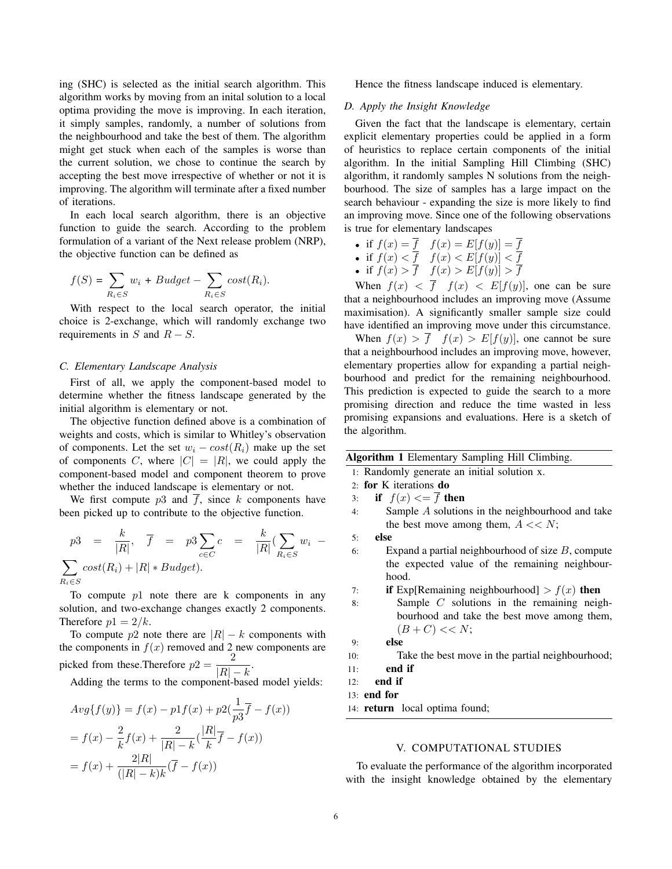ing (SHC) is selected as the initial search algorithm. This algorithm works by moving from an inital solution to a local optima providing the move is improving. In each iteration, it simply samples, randomly, a number of solutions from the neighbourhood and take the best of them. The algorithm might get stuck when each of the samples is worse than the current solution, we chose to continue the search by accepting the best move irrespective of whether or not it is improving. The algorithm will terminate after a fixed number of iterations.

In each local search algorithm, there is an objective function to guide the search. According to the problem formulation of a variant of the Next release problem (NRP), the objective function can be defined as

$$
f(S) = \sum_{R_i \in S} w_i + Budget - \sum_{R_i \in S} cost(R_i).
$$

With respect to the local search operator, the initial choice is 2-exchange, which will randomly exchange two requirements in  $S$  and  $R - S$ .

#### *C. Elementary Landscape Analysis*

First of all, we apply the component-based model to determine whether the fitness landscape generated by the initial algorithm is elementary or not.

The objective function defined above is a combination of weights and costs, which is similar to Whitley's observation of components. Let the set  $w_i - cost(R_i)$  make up the set of components C, where  $|C| = |R|$ , we could apply the component-based model and component theorem to prove whether the induced landscape is elementary or not.

We first compute  $p3$  and  $f$ , since  $k$  components have been picked up to contribute to the objective function.

$$
p3 = \frac{k}{|R|}, \quad \overline{f} = p3 \sum_{c \in C} c = \frac{k}{|R|} (\sum_{R_i \in S} w_i - \sum_{R_i \in S} cost(R_i) + |R| * Budget).
$$

To compute  $p1$  note there are k components in any solution, and two-exchange changes exactly 2 components. Therefore  $p1 = 2/k$ .

To compute p2 note there are  $|R| - k$  components with the components in  $f(x)$  removed and 2 new components are picked from these.Therefore  $p2 = \frac{2}{|D|}$  $\frac{1}{|R|-k}$ .

Adding the terms to the component-based model yields:

$$
Avg{f(y)} = f(x) - p1f(x) + p2(\frac{1}{p3}\overline{f} - f(x))
$$
  
=  $f(x) - \frac{2}{k}f(x) + \frac{2}{|R| - k}(\frac{|R|}{k}\overline{f} - f(x))$   
=  $f(x) + \frac{2|R|}{(|R| - k)k}(\overline{f} - f(x))$ 

Hence the fitness landscape induced is elementary.

#### *D. Apply the Insight Knowledge*

Given the fact that the landscape is elementary, certain explicit elementary properties could be applied in a form of heuristics to replace certain components of the initial algorithm. In the initial Sampling Hill Climbing (SHC) algorithm, it randomly samples N solutions from the neighbourhood. The size of samples has a large impact on the search behaviour - expanding the size is more likely to find an improving move. Since one of the following observations is true for elementary landscapes

- if  $f(x) = f$   $f(x) = E[f(y)] = f$
- if  $f(x) < f$   $f(x) < E[f(y)] < f$
- if  $f(x) > \overline{f}$   $f(x) > E[f(y)] > f$

When  $f(x) < \overline{f}$   $f(x) < E[f(y)]$ , one can be sure that a neighbourhood includes an improving move (Assume maximisation). A significantly smaller sample size could have identified an improving move under this circumstance.

When  $f(x) > \overline{f}$   $f(x) > E[f(y)]$ , one cannot be sure that a neighbourhood includes an improving move, however, elementary properties allow for expanding a partial neighbourhood and predict for the remaining neighbourhood. This prediction is expected to guide the search to a more promising direction and reduce the time wasted in less promising expansions and evaluations. Here is a sketch of the algorithm.

|  | Algorithm 1 Elementary Sampling Hill Climbing. |  |  |
|--|------------------------------------------------|--|--|
|  |                                                |  |  |

- 1: Randomly generate an initial solution x.
- 2: for K iterations do
- 3: if  $f(x) \leq f$  then
- 4: Sample A solutions in the neighbourhood and take the best move among them,  $A \ll N$ ;
- 5: else
- 6: Expand a partial neighbourhood of size  $B$ , compute the expected value of the remaining neighbourhood.

7: **if** Exp[Remaining neighbourhood] >  $f(x)$  then

8: Sample C solutions in the remaining neighbourhood and take the best move among them,  $(B+C) << N;$ 

```
9: else
```
- 10: Take the best move in the partial neighbourhood;
- 11: end if

```
12: end if
```

```
13: end for
```
14: return local optima found;

## V. COMPUTATIONAL STUDIES

To evaluate the performance of the algorithm incorporated with the insight knowledge obtained by the elementary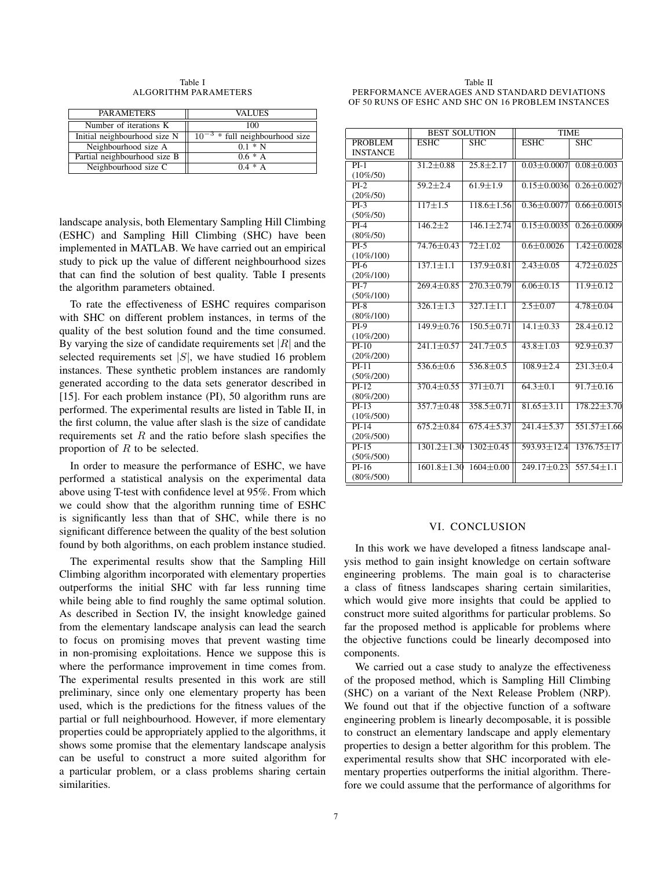Table I ALGORITHM PARAMETERS

| <b>PARAMETERS</b>            | VALUES                              |  |  |
|------------------------------|-------------------------------------|--|--|
| Number of iterations K       | 100                                 |  |  |
| Initial neighbourhood size N | $10^{-3}$ * full neighbourhood size |  |  |
| Neighbourhood size A         | $0.1 * N$                           |  |  |
| Partial neighbourhood size B | $0.6*A$                             |  |  |
| Neighbourhood size C         | $0.4 * A$                           |  |  |

landscape analysis, both Elementary Sampling Hill Climbing (ESHC) and Sampling Hill Climbing (SHC) have been implemented in MATLAB. We have carried out an empirical study to pick up the value of different neighbourhood sizes that can find the solution of best quality. Table I presents the algorithm parameters obtained.

To rate the effectiveness of ESHC requires comparison with SHC on different problem instances, in terms of the quality of the best solution found and the time consumed. By varying the size of candidate requirements set  $|R|$  and the selected requirements set  $|S|$ , we have studied 16 problem instances. These synthetic problem instances are randomly generated according to the data sets generator described in [15]. For each problem instance (PI), 50 algorithm runs are performed. The experimental results are listed in Table II, in the first column, the value after slash is the size of candidate requirements set  $R$  and the ratio before slash specifies the proportion of  $R$  to be selected.

In order to measure the performance of ESHC, we have performed a statistical analysis on the experimental data above using T-test with confidence level at 95%. From which we could show that the algorithm running time of ESHC is significantly less than that of SHC, while there is no significant difference between the quality of the best solution found by both algorithms, on each problem instance studied.

The experimental results show that the Sampling Hill Climbing algorithm incorporated with elementary properties outperforms the initial SHC with far less running time while being able to find roughly the same optimal solution. As described in Section IV, the insight knowledge gained from the elementary landscape analysis can lead the search to focus on promising moves that prevent wasting time in non-promising exploitations. Hence we suppose this is where the performance improvement in time comes from. The experimental results presented in this work are still preliminary, since only one elementary property has been used, which is the predictions for the fitness values of the partial or full neighbourhood. However, if more elementary properties could be appropriately applied to the algorithms, it shows some promise that the elementary landscape analysis can be useful to construct a more suited algorithm for a particular problem, or a class problems sharing certain similarities.

Table II PERFORMANCE AVERAGES AND STANDARD DEVIATIONS OF 50 RUNS OF ESHC AND SHC ON 16 PROBLEM INSTANCES

|                         | <b>BEST SOLUTION</b> |                         | <b>TIME</b>       |                         |  |
|-------------------------|----------------------|-------------------------|-------------------|-------------------------|--|
| PROBLEM                 | <b>ESHC</b>          | $\overline{\text{SHC}}$ | $\overline{ESHC}$ | $\overline{\text{SHC}}$ |  |
| <b>INSTANCE</b>         |                      |                         |                   |                         |  |
| $PI-1$                  | $31.2 + 0.88$        | $25.8 + 2.17$           | $0.03 + 0.0007$   | $0.08 + 0.003$          |  |
| $(10\%/50)$             |                      |                         |                   |                         |  |
| $PI-2$                  | $59.2 \pm 2.4$       | $61.9 + 1.9$            | $0.15 + 0.0036$   | $0.26 + 0.0027$         |  |
| $(20\%/50)$             |                      |                         |                   |                         |  |
| $PI-3$                  | $117\pm1.5$          | $118.6 \pm 1.56$        | $0.36 + 0.0077$   | $0.66 \pm 0.0015$       |  |
| $(50\%/50)$             |                      |                         |                   |                         |  |
| $PI-4$                  | $146.2 \pm 2$        | $146.1 \pm 2.74$        | $0.15 \pm 0.0035$ | $0.26 \pm 0.0009$       |  |
| $(80\%/50)$             |                      |                         |                   |                         |  |
| $PI-5$                  | $74.76 \pm 0.43$     | $72 \pm 1.02$           | $0.6 \pm 0.0026$  | $1.42 \pm 0.0028$       |  |
| $(10\%/100)$            |                      |                         |                   |                         |  |
| $PI-6$                  | $137.1 \pm 1.1$      | $137.9 \pm 0.81$        | $2.43 \pm 0.05$   | $4.72 \pm 0.025$        |  |
| $(20\%/100)$            |                      |                         |                   |                         |  |
| $PI-7$                  | $269.4 \pm 0.85$     | $270.3 \pm 0.79$        | $6.06 \pm 0.15$   | $11.9 \pm 0.12$         |  |
| $(50\%/100)$            |                      |                         |                   |                         |  |
| $PI-8$                  | $326.1 \pm 1.3$      | $327.1 + 1.1$           | $2.5 \pm 0.07$    | $4.78 + 0.04$           |  |
| $(80\%/100)$            |                      |                         |                   |                         |  |
| $PI-9$                  | $149.9 \pm 0.76$     | $150.5 \pm 0.71$        | $14.1 \pm 0.33$   | $28.4 \pm 0.12$         |  |
| $(10\%/200)$            |                      |                         |                   |                         |  |
| $PI-10$                 | $241.1 \pm 0.57$     | $241.7 \pm 0.5$         | $43.8 + 1.03$     | $92.9 \pm 0.37$         |  |
| $(20\%/200)$            |                      |                         |                   |                         |  |
| $PI-11$                 | $536.6 \pm 0.6$      | $536.8 \pm 0.5$         | $108.9 \pm 2.4$   | $231.3 \pm 0.4$         |  |
| $(50\%/200)$            |                      |                         |                   |                         |  |
| $PI-12$                 | $370.4 \pm 0.55$     | $371 \pm 0.71$          | $64.3 \pm 0.1$    | $91.7 \pm 0.16$         |  |
| $(80\%/200)$            |                      |                         |                   |                         |  |
| $PI-13$                 | $357.7 \pm 0.48$     | $358.5 \pm 0.71$        | $81.65 \pm 3.11$  | $178.22 \pm 3.70$       |  |
| $(10\%/500)$            |                      |                         |                   |                         |  |
| $PI-14$                 | $675.2 \pm 0.84$     | $675.4 \pm 5.37$        | $241.4 \pm 5.37$  | $551.57 \pm 1.66$       |  |
| $(20\%/500)$            |                      |                         |                   |                         |  |
| $PI-15$                 | $1301.2 \pm 1.30$    | $1302 \pm 0.45$         | $593.93 \pm 12.4$ | $1376.75 + 17$          |  |
| $(50\%/500)$<br>$PI-16$ |                      |                         |                   | $557.54 + 1.1$          |  |
|                         | $1601.8 \pm 1.30$    | $1604 \pm 0.00$         | $249.17 \pm 0.23$ |                         |  |
| $(80\%/500)$            |                      |                         |                   |                         |  |

#### VI. CONCLUSION

In this work we have developed a fitness landscape analysis method to gain insight knowledge on certain software engineering problems. The main goal is to characterise a class of fitness landscapes sharing certain similarities, which would give more insights that could be applied to construct more suited algorithms for particular problems. So far the proposed method is applicable for problems where the objective functions could be linearly decomposed into components.

We carried out a case study to analyze the effectiveness of the proposed method, which is Sampling Hill Climbing (SHC) on a variant of the Next Release Problem (NRP). We found out that if the objective function of a software engineering problem is linearly decomposable, it is possible to construct an elementary landscape and apply elementary properties to design a better algorithm for this problem. The experimental results show that SHC incorporated with elementary properties outperforms the initial algorithm. Therefore we could assume that the performance of algorithms for